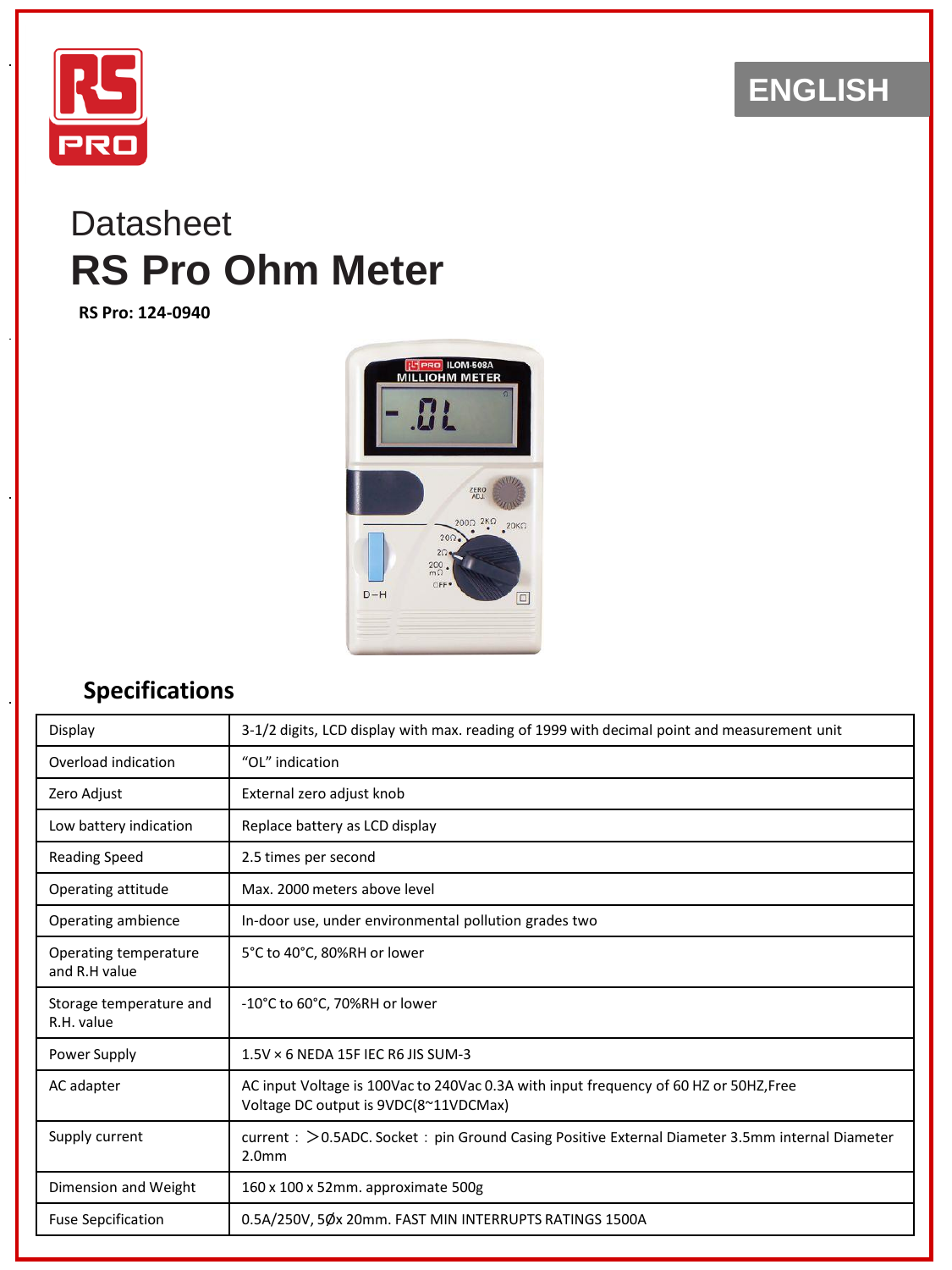

## **ENGLISH**

# **Datasheet RS Pro Ohm Meter**

**RS Pro: 124-0940**



#### **Specifications**

| Display                                | 3-1/2 digits, LCD display with max. reading of 1999 with decimal point and measurement unit                                    |  |  |
|----------------------------------------|--------------------------------------------------------------------------------------------------------------------------------|--|--|
| Overload indication                    | "OL" indication                                                                                                                |  |  |
| Zero Adjust                            | External zero adjust knob                                                                                                      |  |  |
| Low battery indication                 | Replace battery as LCD display                                                                                                 |  |  |
| <b>Reading Speed</b>                   | 2.5 times per second                                                                                                           |  |  |
| Operating attitude                     | Max. 2000 meters above level                                                                                                   |  |  |
| Operating ambience                     | In-door use, under environmental pollution grades two                                                                          |  |  |
| Operating temperature<br>and R.H value | 5°C to 40°C, 80%RH or lower                                                                                                    |  |  |
| Storage temperature and<br>R.H. value  | -10°C to 60°C, 70%RH or lower                                                                                                  |  |  |
| Power Supply                           | $1.5$ V $\times$ 6 NEDA 15F IEC R6 JIS SUM-3                                                                                   |  |  |
| AC adapter                             | AC input Voltage is 100Vac to 240Vac 0.3A with input frequency of 60 HZ or 50HZ, Free<br>Voltage DC output is 9VDC(8~11VDCMax) |  |  |
| Supply current                         | current: > 0.5ADC. Socket: pin Ground Casing Positive External Diameter 3.5mm internal Diameter<br>2.0 <sub>mm</sub>           |  |  |
| Dimension and Weight                   | 160 x 100 x 52mm. approximate 500g                                                                                             |  |  |
| <b>Fuse Sepcification</b>              | 0.5A/250V, 5Øx 20mm. FAST MIN INTERRUPTS RATINGS 1500A                                                                         |  |  |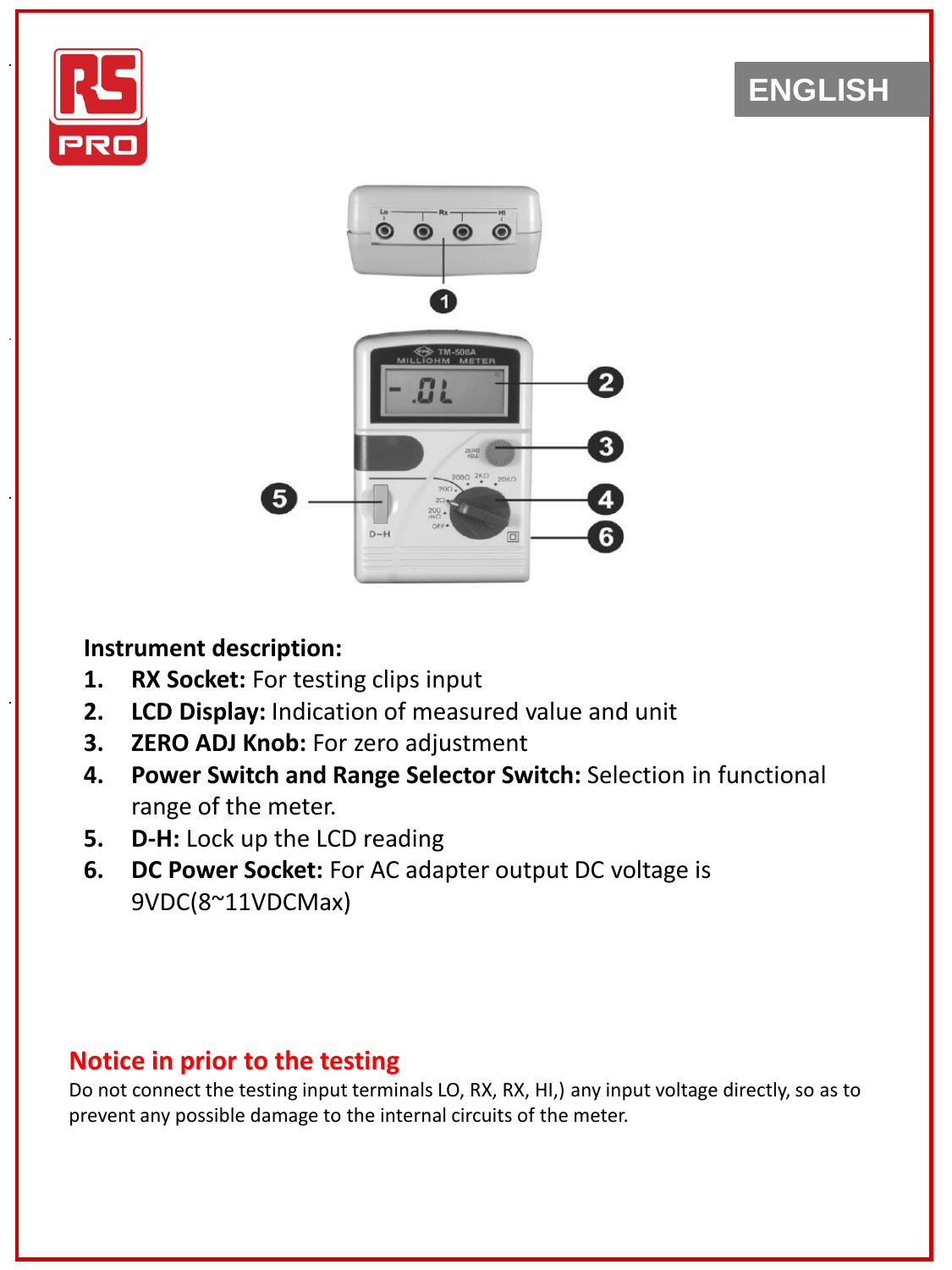

## **ENGLISH**



#### **Instrument description:**

- **1. RX Socket:** For testing clips input
- **2. LCD Display:** Indication of measured value and unit
- **3. ZERO ADJ Knob:** For zero adjustment
- **4. Power Switch and Range Selector Switch:** Selection in functional range of the meter.
- **5. D-H:** Lock up the LCD reading
- **6. DC Power Socket:** For AC adapter output DC voltage is 9VDC(8~11VDCMax)

### **Notice in prior to the testing**

Do not connect the testing input terminals LO, RX, RX, HI,) any input voltage directly, so as to prevent any possible damage to the internal circuits of the meter.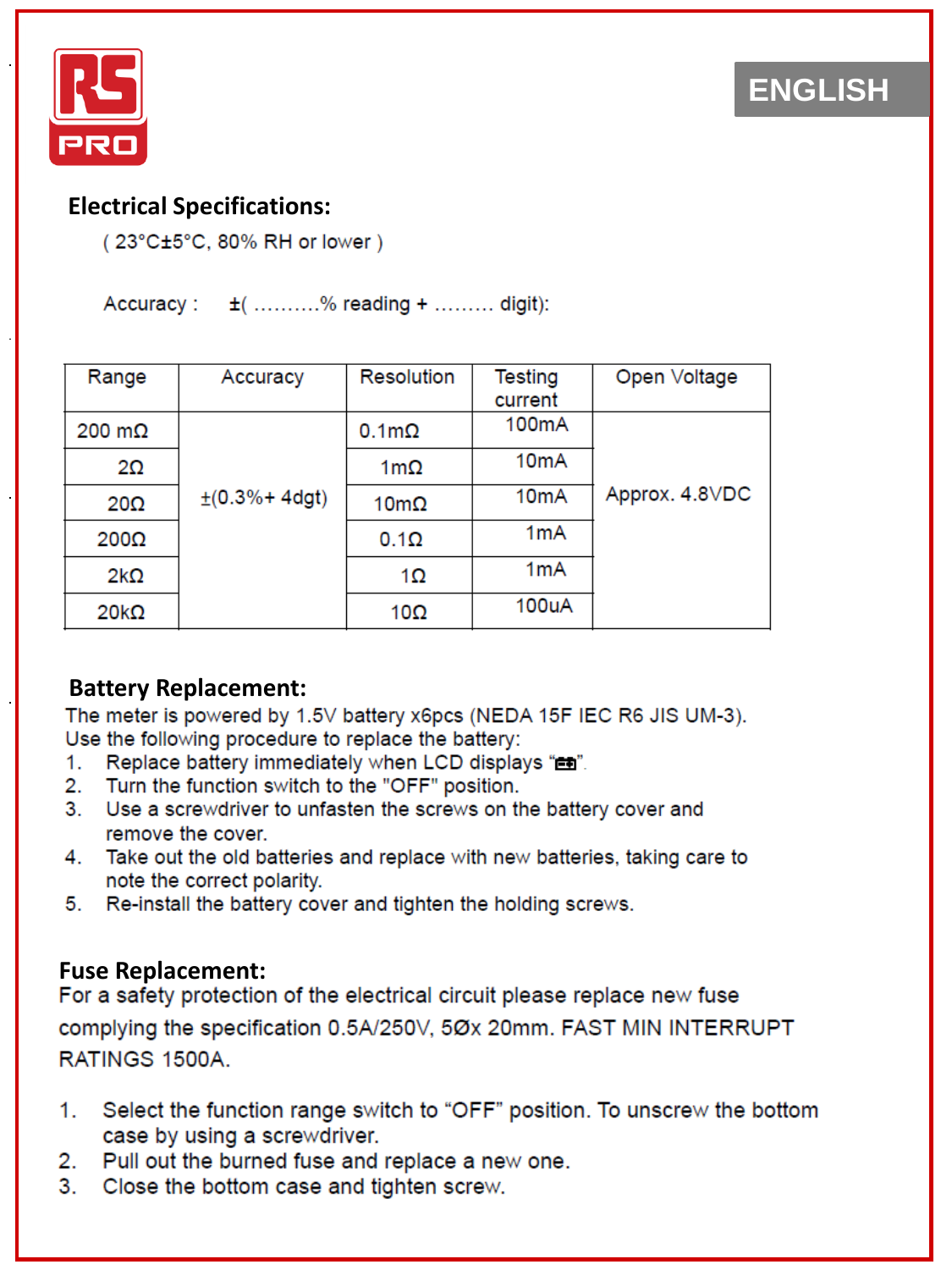



#### **Electrical Specifications:**

(23°C±5°C, 80% RH or lower)

Accuracy : t ( ..........% reading + ......... digit):

| Range                 | Accuracy                    | <b>Resolution</b> | Testing            | Open Voltage   |
|-----------------------|-----------------------------|-------------------|--------------------|----------------|
|                       |                             |                   | current            |                |
| $200 \text{ m}\Omega$ |                             | $0.1m\Omega$      | 100 <sub>m</sub> A |                |
| 2Ω                    |                             | $1m\Omega$        | 10 <sub>m</sub> A  |                |
| $20\Omega$            | $\pm (0.3\% + 4\text{dgt})$ | $10m\Omega$       | 10 <sub>m</sub> A  | Approx. 4.8VDC |
| $200\Omega$           |                             | $0.1\Omega$       | 1 <sub>m</sub> A   |                |
| $2k\Omega$            |                             | $1\Omega$         | 1 <sub>m</sub> A   |                |
| $20k\Omega$           |                             | 10 $\Omega$       | 100uA              |                |

#### **Battery Replacement:**

The meter is powered by 1.5V battery x6pcs (NEDA 15F IEC R6 JIS UM-3). Use the following procedure to replace the battery:

- 1. Replace battery immediately when LCD displays "en".
- 2. Turn the function switch to the "OFF" position.
- 3. Use a screwdriver to unfasten the screws on the battery cover and remove the cover.
- 4. Take out the old batteries and replace with new batteries, taking care to note the correct polarity.
- 5. Re-install the battery cover and tighten the holding screws.

**Fuse Replacement:**<br>For a safety protection of the electrical circuit please replace new fuse complying the specification 0.5A/250V, 5Øx 20mm. FAST MIN INTERRUPT RATINGS 1500A.

- Select the function range switch to "OFF" position. To unscrew the bottom 1. case by using a screwdriver.
- 2. Pull out the burned fuse and replace a new one.
- 3. Close the bottom case and tighten screw.